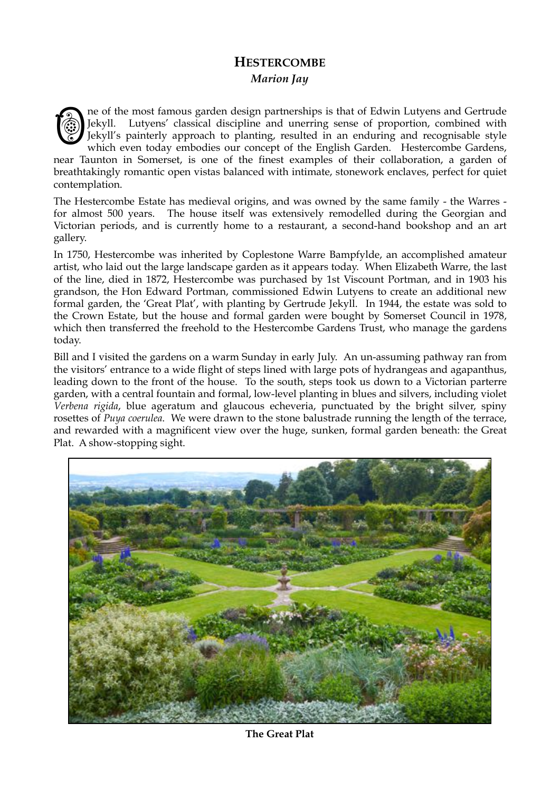## **HESTERCOMBE**  *Marion Jay*



ne of the most famous garden design partnerships is that of Edwin Lutyens and Gertrude Jekyll. Lutyens' classical discipline and unerring sense of proportion, combined with Jekyll's painterly approach to planting, resulted in an enduring and recognisable style which even today embodies our concept of the English Garden. Hestercombe Gardens,

near Taunton in Somerset, is one of the finest examples of their collaboration, a garden of breathtakingly romantic open vistas balanced with intimate, stonework enclaves, perfect for quiet contemplation.

The Hestercombe Estate has medieval origins, and was owned by the same family - the Warres for almost 500 years. The house itself was extensively remodelled during the Georgian and Victorian periods, and is currently home to a restaurant, a second-hand bookshop and an art gallery.

In 1750, Hestercombe was inherited by Coplestone Warre Bampfylde, an accomplished amateur artist, who laid out the large landscape garden as it appears today. When Elizabeth Warre, the last of the line, died in 1872, Hestercombe was purchased by 1st Viscount Portman, and in 1903 his grandson, the Hon Edward Portman, commissioned Edwin Lutyens to create an additional new formal garden, the 'Great Plat', with planting by Gertrude Jekyll. In 1944, the estate was sold to the Crown Estate, but the house and formal garden were bought by Somerset Council in 1978, which then transferred the freehold to the Hestercombe Gardens Trust, who manage the gardens today.

Bill and I visited the gardens on a warm Sunday in early July. An un-assuming pathway ran from the visitors' entrance to a wide flight of steps lined with large pots of hydrangeas and agapanthus, leading down to the front of the house. To the south, steps took us down to a Victorian parterre garden, with a central fountain and formal, low-level planting in blues and silvers, including violet *Verbena rigida*, blue ageratum and glaucous echeveria, punctuated by the bright silver, spiny rosettes of *Puya coerulea*. We were drawn to the stone balustrade running the length of the terrace, and rewarded with a magnificent view over the huge, sunken, formal garden beneath: the Great Plat. A show-stopping sight.



**The Great Plat**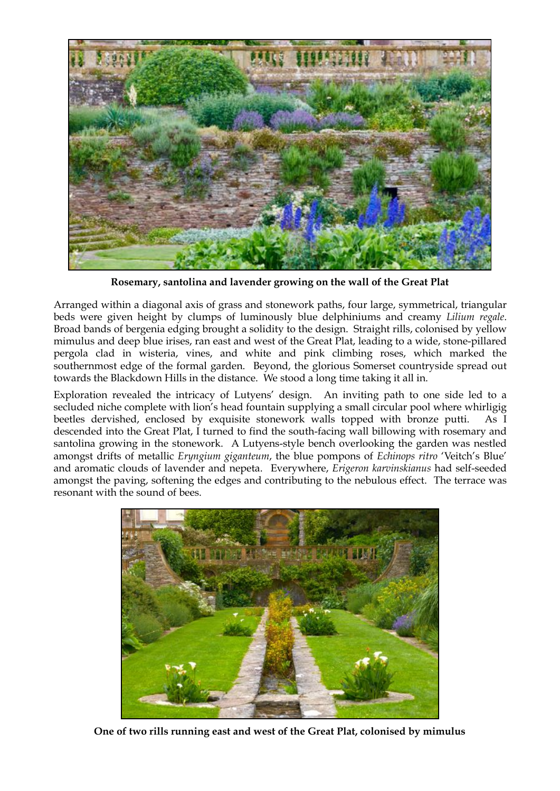

**Rosemary, santolina and lavender growing on the wall of the Great Plat**

Arranged within a diagonal axis of grass and stonework paths, four large, symmetrical, triangular beds were given height by clumps of luminously blue delphiniums and creamy *Lilium regale*. Broad bands of bergenia edging brought a solidity to the design. Straight rills, colonised by yellow mimulus and deep blue irises, ran east and west of the Great Plat, leading to a wide, stone-pillared pergola clad in wisteria, vines, and white and pink climbing roses, which marked the southernmost edge of the formal garden. Beyond, the glorious Somerset countryside spread out towards the Blackdown Hills in the distance. We stood a long time taking it all in.

Exploration revealed the intricacy of Lutyens' design. An inviting path to one side led to a secluded niche complete with lion's head fountain supplying a small circular pool where whirligig beetles dervished, enclosed by exquisite stonework walls topped with bronze putti. As I descended into the Great Plat, I turned to find the south-facing wall billowing with rosemary and santolina growing in the stonework. A Lutyens-style bench overlooking the garden was nestled amongst drifts of metallic *Eryngium giganteum*, the blue pompons of *Echinops ritro* 'Veitch's Blue' and aromatic clouds of lavender and nepeta. Everywhere, *Erigeron karvinskianus* had self-seeded amongst the paving, softening the edges and contributing to the nebulous effect. The terrace was resonant with the sound of bees.



**One of two rills running east and west of the Great Plat, colonised by mimulus**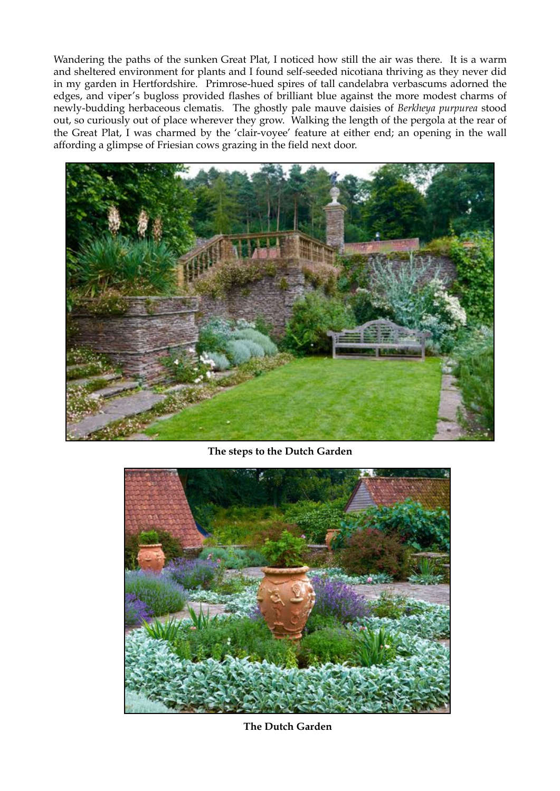Wandering the paths of the sunken Great Plat, I noticed how still the air was there. It is a warm and sheltered environment for plants and I found self-seeded nicotiana thriving as they never did in my garden in Hertfordshire. Primrose-hued spires of tall candelabra verbascums adorned the edges, and viper's bugloss provided flashes of brilliant blue against the more modest charms of newly-budding herbaceous clematis. The ghostly pale mauve daisies of *Berkheya purpurea* stood out, so curiously out of place wherever they grow. Walking the length of the pergola at the rear of the Great Plat, I was charmed by the 'clair-voyee' feature at either end; an opening in the wall affording a glimpse of Friesian cows grazing in the field next door.



**The steps to the Dutch Garden**



**The Dutch Garden**